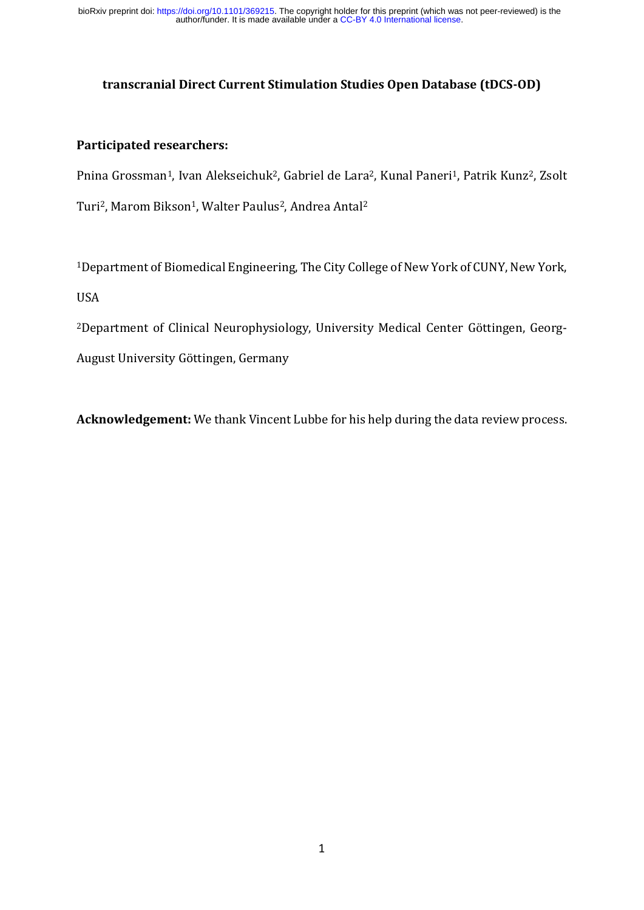author/funder. It is made available under a [CC-BY 4.0 International license.](http://creativecommons.org/licenses/by/4.0/) bioRxiv preprint doi: [https://doi.org/10.1101/369215.](https://doi.org/10.1101/369215) The copyright holder for this preprint (which was not peer-reviewed) is the

# **transcranial Direct Current Stimulation Studies Open Database (tDCS-OD)**

## **Participated researchers:**

Pnina Grossman<sup>1</sup>, Ivan Alekseichuk<sup>2</sup>, Gabriel de Lara<sup>2</sup>, Kunal Paneri<sup>1</sup>, Patrik Kunz<sup>2</sup>, Zsolt

Turi<sup>2</sup>, Marom Bikson<sup>1</sup>, Walter Paulus<sup>2</sup>, Andrea Antal<sup>2</sup>

<sup>1</sup>Department of Biomedical Engineering, The City College of New York of CUNY, New York, USA

<sup>2</sup>Department of Clinical Neurophysiology, University Medical Center Göttingen, Georg-

August University Göttingen, Germany

**Acknowledgement:** We thank Vincent Lubbe for his help during the data review process.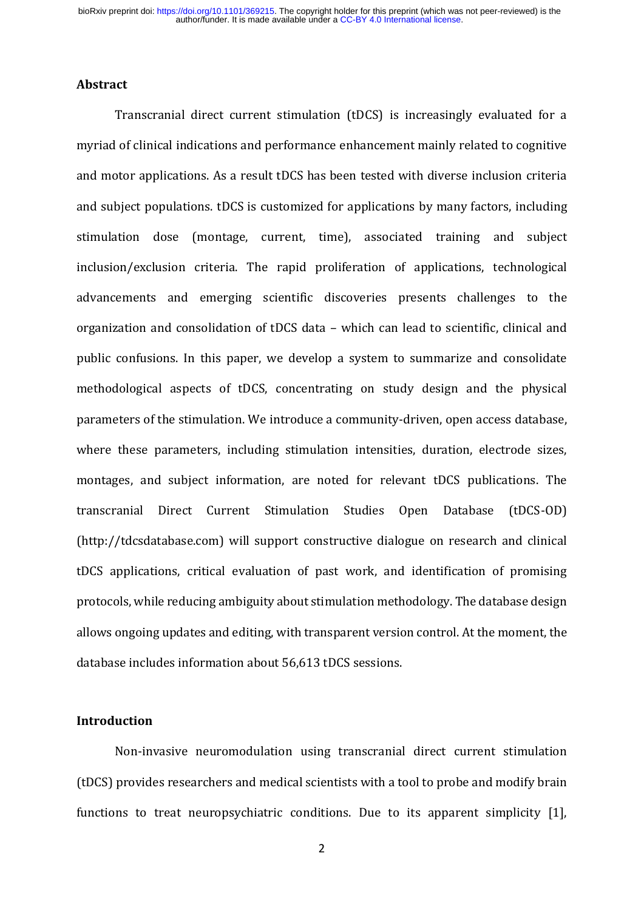#### **Abstract**

Transcranial direct current stimulation (tDCS) is increasingly evaluated for a myriad of clinical indications and performance enhancement mainly related to cognitive and motor applications. As a result tDCS has been tested with diverse inclusion criteria and subject populations. tDCS is customized for applications by many factors, including stimulation dose (montage, current, time), associated training and subject inclusion/exclusion criteria. The rapid proliferation of applications, technological advancements and emerging scientific discoveries presents challenges to the organization and consolidation of tDCS data – which can lead to scientific, clinical and public confusions. In this paper, we develop a system to summarize and consolidate methodological aspects of tDCS, concentrating on study design and the physical parameters of the stimulation. We introduce a community-driven, open access database, where these parameters, including stimulation intensities, duration, electrode sizes, montages, and subject information, are noted for relevant tDCS publications. The transcranial Direct Current Stimulation Studies Open Database (tDCS-OD) (http://tdcsdatabase.com) will support constructive dialogue on research and clinical tDCS applications, critical evaluation of past work, and identification of promising protocols, while reducing ambiguity about stimulation methodology. The database design allows ongoing updates and editing, with transparent version control. At the moment, the database includes information about 56,613 tDCS sessions.

### **Introduction**

Non-invasive neuromodulation using transcranial direct current stimulation (tDCS) provides researchers and medical scientists with a tool to probe and modify brain functions to treat neuropsychiatric conditions. Due to its apparent simplicity [1],

2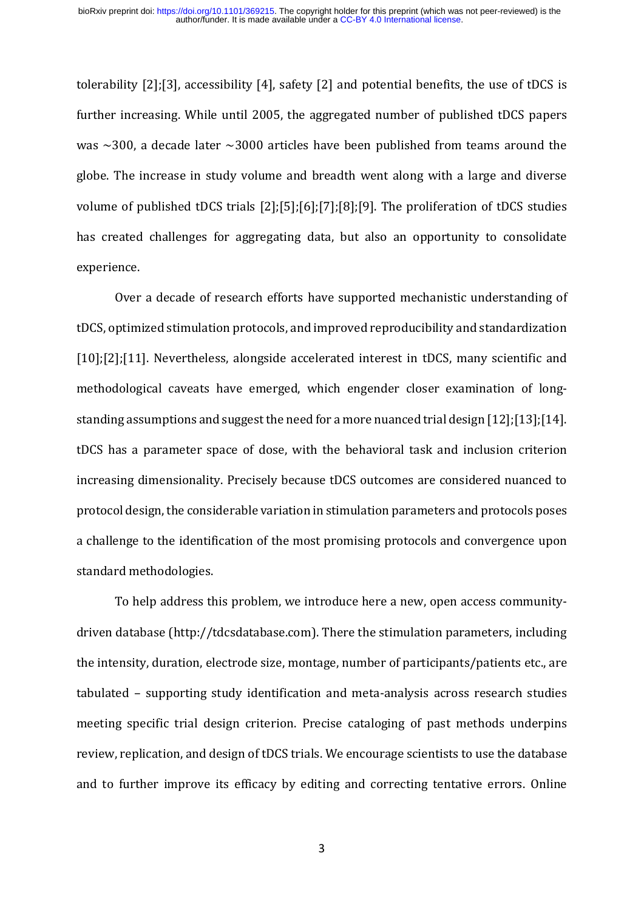tolerability [2];[3], accessibility [4], safety [2] and potential benefits, the use of tDCS is further increasing. While until 2005, the aggregated number of published tDCS papers was  $\sim$ 300, a decade later  $\sim$ 3000 articles have been published from teams around the globe. The increase in study volume and breadth went along with a large and diverse volume of published tDCS trials [2];[5];[6];[7];[8];[9]. The proliferation of tDCS studies has created challenges for aggregating data, but also an opportunity to consolidate experience.

Over a decade of research efforts have supported mechanistic understanding of tDCS, optimized stimulation protocols, and improved reproducibility and standardization [10];[2];[11]. Nevertheless, alongside accelerated interest in tDCS, many scientific and methodological caveats have emerged, which engender closer examination of longstanding assumptions and suggest the need for a more nuanced trial design [12];[13];[14]. tDCS has a parameter space of dose, with the behavioral task and inclusion criterion increasing dimensionality. Precisely because tDCS outcomes are considered nuanced to protocol design, the considerable variation in stimulation parameters and protocols poses a challenge to the identification of the most promising protocols and convergence upon standard methodologies.

To help address this problem, we introduce here a new, open access communitydriven database (http://tdcsdatabase.com). There the stimulation parameters, including the intensity, duration, electrode size, montage, number of participants/patients etc., are tabulated – supporting study identification and meta-analysis across research studies meeting specific trial design criterion. Precise cataloging of past methods underpins review, replication, and design of tDCS trials. We encourage scientists to use the database and to further improve its efficacy by editing and correcting tentative errors. Online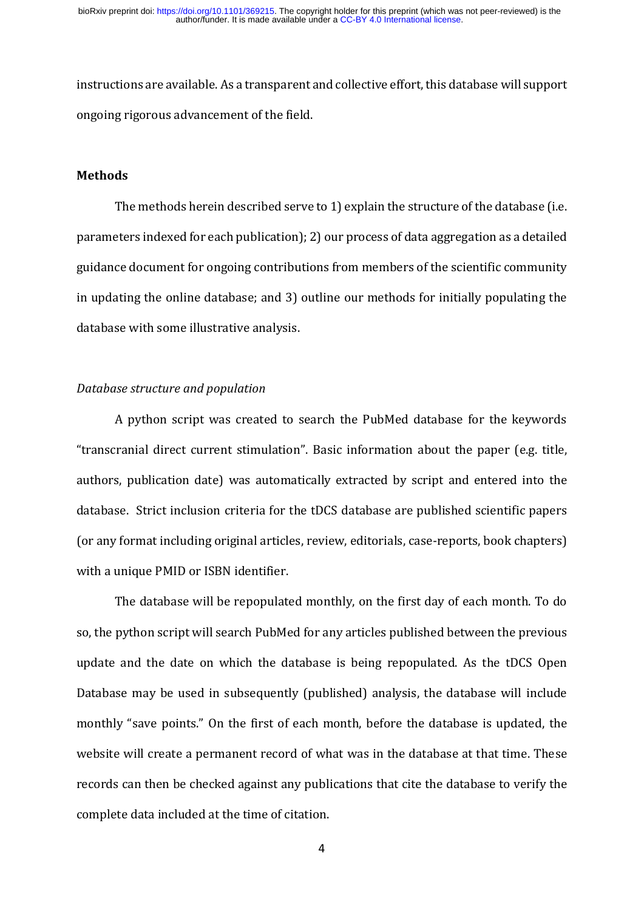instructions are available. As a transparent and collective effort, this database will support ongoing rigorous advancement of the field.

## **Methods**

The methods herein described serve to 1) explain the structure of the database (i.e. parameters indexed for each publication); 2) our process of data aggregation as a detailed guidance document for ongoing contributions from members of the scientific community in updating the online database; and 3) outline our methods for initially populating the database with some illustrative analysis.

#### *Database structure and population*

A python script was created to search the PubMed database for the keywords "transcranial direct current stimulation". Basic information about the paper (e.g. title, authors, publication date) was automatically extracted by script and entered into the database. Strict inclusion criteria for the tDCS database are published scientific papers (or any format including original articles, review, editorials, case-reports, book chapters) with a unique PMID or ISBN identifier.

The database will be repopulated monthly, on the first day of each month. To do so, the python script will search PubMed for any articles published between the previous update and the date on which the database is being repopulated. As the tDCS Open Database may be used in subsequently (published) analysis, the database will include monthly "save points." On the first of each month, before the database is updated, the website will create a permanent record of what was in the database at that time. These records can then be checked against any publications that cite the database to verify the complete data included at the time of citation.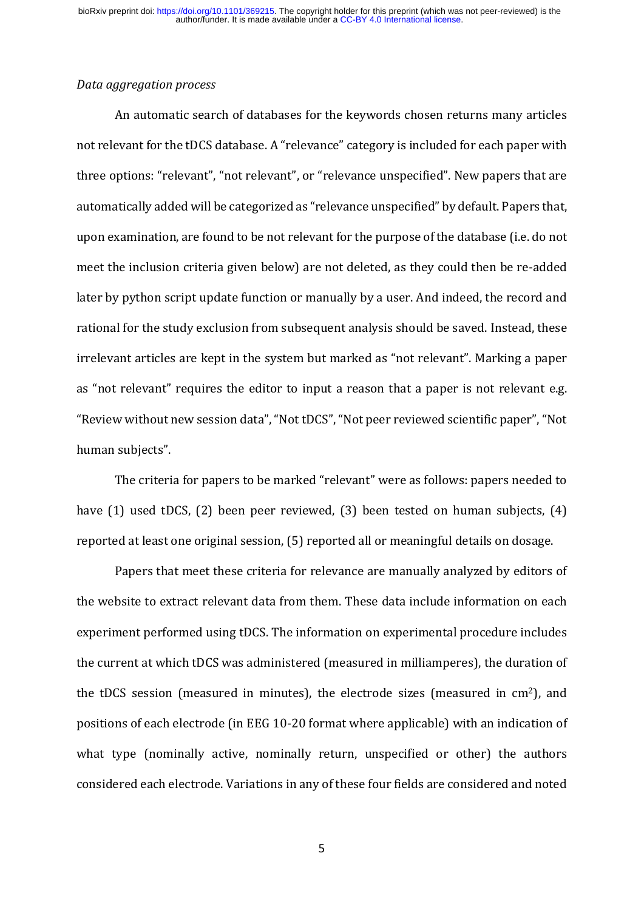#### *Data aggregation process*

An automatic search of databases for the keywords chosen returns many articles not relevant for the tDCS database. A "relevance" category is included for each paper with three options: "relevant", "not relevant", or "relevance unspecified". New papers that are automatically added will be categorized as "relevance unspecified" by default. Papers that, upon examination, are found to be not relevant for the purpose of the database (i.e. do not meet the inclusion criteria given below) are not deleted, as they could then be re-added later by python script update function or manually by a user. And indeed, the record and rational for the study exclusion from subsequent analysis should be saved. Instead, these irrelevant articles are kept in the system but marked as "not relevant". Marking a paper as "not relevant" requires the editor to input a reason that a paper is not relevant e.g. "Review without new session data", "Not tDCS", "Not peer reviewed scientific paper", "Not human subjects".

The criteria for papers to be marked "relevant" were as follows: papers needed to have (1) used tDCS, (2) been peer reviewed, (3) been tested on human subjects, (4) reported at least one original session, (5) reported all or meaningful details on dosage.

Papers that meet these criteria for relevance are manually analyzed by editors of the website to extract relevant data from them. These data include information on each experiment performed using tDCS. The information on experimental procedure includes the current at which tDCS was administered (measured in milliamperes), the duration of the tDCS session (measured in minutes), the electrode sizes (measured in  $cm<sup>2</sup>$ ), and positions of each electrode (in EEG 10-20 format where applicable) with an indication of what type (nominally active, nominally return, unspecified or other) the authors considered each electrode. Variations in any of these four fields are considered and noted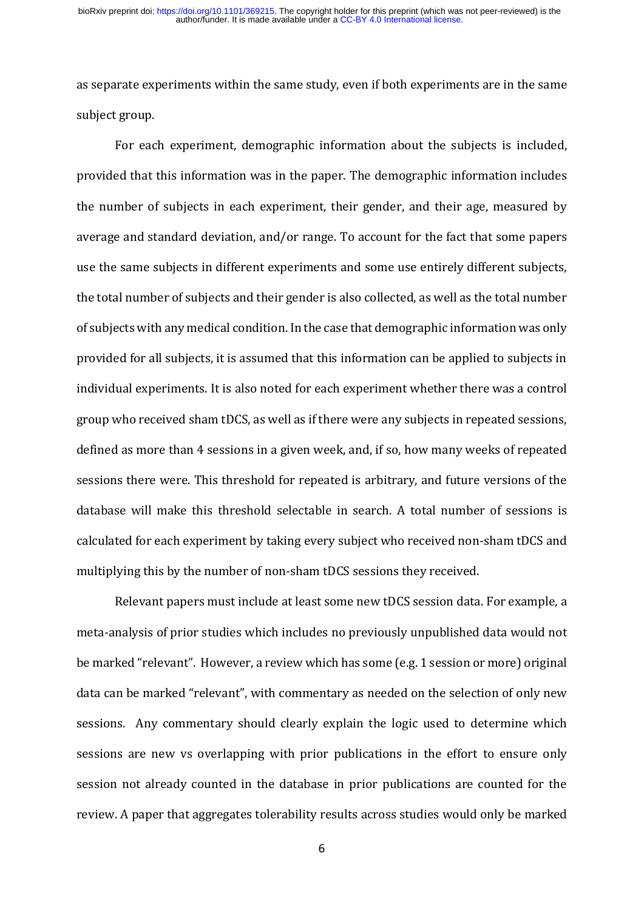as separate experiments within the same study, even if both experiments are in the same subject group.

For each experiment, demographic information about the subjects is included, provided that this information was in the paper. The demographic information includes the number of subjects in each experiment, their gender, and their age, measured by average and standard deviation, and/or range. To account for the fact that some papers use the same subjects in different experiments and some use entirely different subjects, the total number of subjects and their gender is also collected, as well as the total number of subjects with any medical condition. In the case that demographic information was only provided for all subjects, it is assumed that this information can be applied to subjects in individual experiments. It is also noted for each experiment whether there was a control group who received sham tDCS, as well as if there were any subjects in repeated sessions, defined as more than 4 sessions in a given week, and, if so, how many weeks of repeated sessions there were. This threshold for repeated is arbitrary, and future versions of the database will make this threshold selectable in search. A total number of sessions is calculated for each experiment by taking every subject who received non-sham tDCS and multiplying this by the number of non-sham tDCS sessions they received.

Relevant papers must include at least some new tDCS session data. For example, a meta-analysis of prior studies which includes no previously unpublished data would not be marked "relevant". However, a review which has some (e.g. 1 session or more) original data can be marked "relevant", with commentary as needed on the selection of only new sessions. Any commentary should clearly explain the logic used to determine which sessions are new vs overlapping with prior publications in the effort to ensure only session not already counted in the database in prior publications are counted for the review. A paper that aggregates tolerability results across studies would only be marked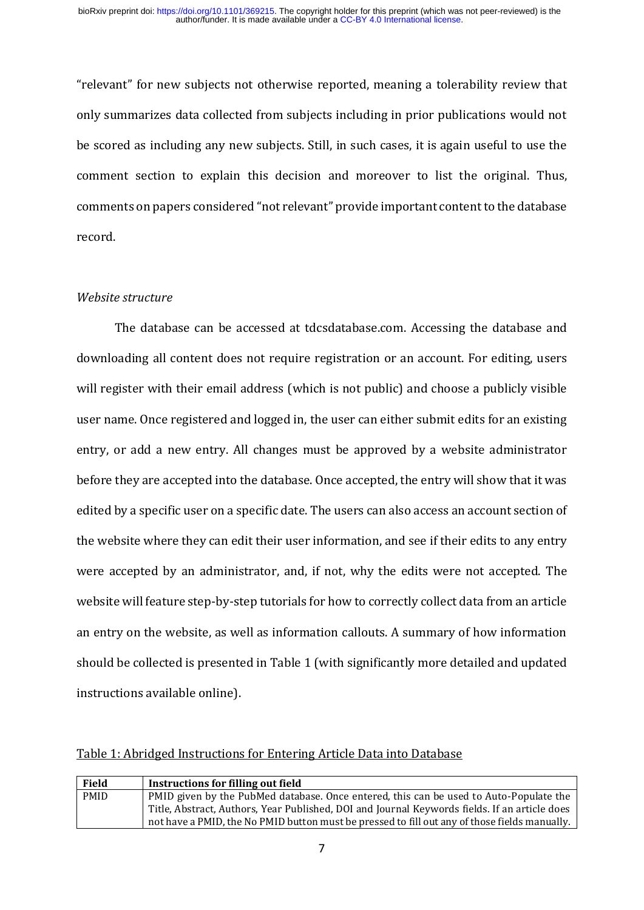"relevant" for new subjects not otherwise reported, meaning a tolerability review that only summarizes data collected from subjects including in prior publications would not be scored as including any new subjects. Still, in such cases, it is again useful to use the comment section to explain this decision and moreover to list the original. Thus, comments on papers considered "not relevant" provide important content to the database record.

## *Website structure*

The database can be accessed at tdcsdatabase.com. Accessing the database and downloading all content does not require registration or an account. For editing, users will register with their email address (which is not public) and choose a publicly visible user name. Once registered and logged in, the user can either submit edits for an existing entry, or add a new entry. All changes must be approved by a website administrator before they are accepted into the database. Once accepted, the entry will show that it was edited by a specific user on a specific date. The users can also access an account section of the website where they can edit their user information, and see if their edits to any entry were accepted by an administrator, and, if not, why the edits were not accepted. The website will feature step-by-step tutorials for how to correctly collect data from an article an entry on the website, as well as information callouts. A summary of how information should be collected is presented in Table 1 (with significantly more detailed and updated instructions available online).

| Table 1: Abridged Instructions for Entering Article Data into Database |  |  |  |
|------------------------------------------------------------------------|--|--|--|
|                                                                        |  |  |  |

| <b>Field</b> | <b>Instructions for filling out field</b>                                                     |
|--------------|-----------------------------------------------------------------------------------------------|
| PMID         | PMID given by the PubMed database. Once entered, this can be used to Auto-Populate the        |
|              | Title, Abstract, Authors, Year Published, DOI and Journal Keywords fields. If an article does |
|              | not have a PMID, the No PMID button must be pressed to fill out any of those fields manually. |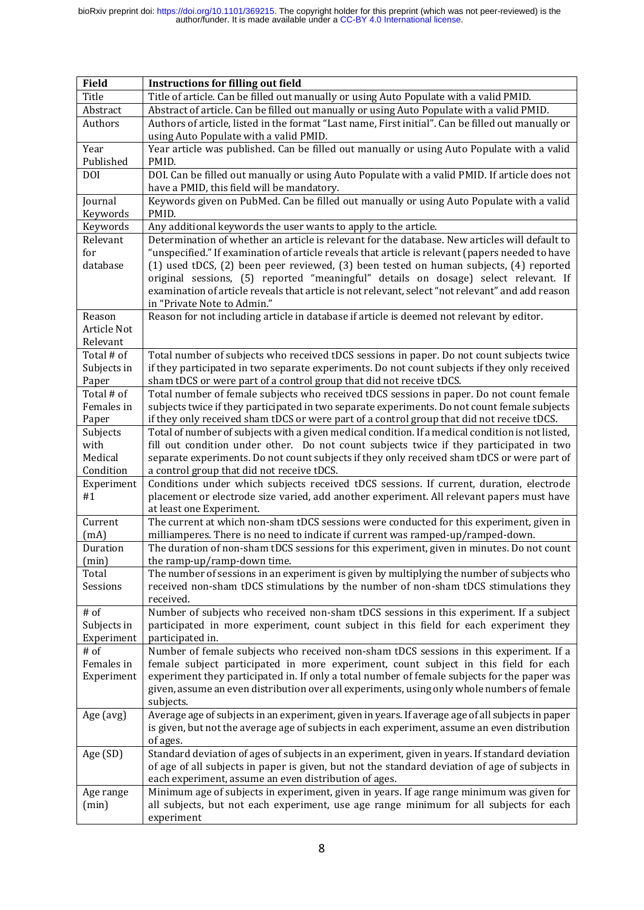| <b>Field</b>            | <b>Instructions for filling out field</b>                                                                                                                                                                                                                                                                                                                                                                             |
|-------------------------|-----------------------------------------------------------------------------------------------------------------------------------------------------------------------------------------------------------------------------------------------------------------------------------------------------------------------------------------------------------------------------------------------------------------------|
| Title                   | Title of article. Can be filled out manually or using Auto Populate with a valid PMID.                                                                                                                                                                                                                                                                                                                                |
| Abstract                | Abstract of article. Can be filled out manually or using Auto Populate with a valid PMID.                                                                                                                                                                                                                                                                                                                             |
| Authors                 | Authors of article, listed in the format "Last name, First initial". Can be filled out manually or                                                                                                                                                                                                                                                                                                                    |
|                         | using Auto Populate with a valid PMID.                                                                                                                                                                                                                                                                                                                                                                                |
| Year                    | Year article was published. Can be filled out manually or using Auto Populate with a valid                                                                                                                                                                                                                                                                                                                            |
| Published               | PMID.                                                                                                                                                                                                                                                                                                                                                                                                                 |
| <b>DOI</b>              | DOI. Can be filled out manually or using Auto Populate with a valid PMID. If article does not<br>have a PMID, this field will be mandatory.                                                                                                                                                                                                                                                                           |
| Journal<br>Keywords     | Keywords given on PubMed. Can be filled out manually or using Auto Populate with a valid<br>PMID.                                                                                                                                                                                                                                                                                                                     |
| Keywords                | Any additional keywords the user wants to apply to the article.                                                                                                                                                                                                                                                                                                                                                       |
| Relevant                | Determination of whether an article is relevant for the database. New articles will default to                                                                                                                                                                                                                                                                                                                        |
| for<br>database         | "unspecified." If examination of article reveals that article is relevant (papers needed to have<br>(1) used tDCS, (2) been peer reviewed, (3) been tested on human subjects, (4) reported<br>original sessions, (5) reported "meaningful" details on dosage) select relevant. If<br>examination of article reveals that article is not relevant, select "not relevant" and add reason<br>in "Private Note to Admin." |
| Reason                  | Reason for not including article in database if article is deemed not relevant by editor.                                                                                                                                                                                                                                                                                                                             |
| Article Not<br>Relevant |                                                                                                                                                                                                                                                                                                                                                                                                                       |
| Total # of              | Total number of subjects who received tDCS sessions in paper. Do not count subjects twice                                                                                                                                                                                                                                                                                                                             |
| Subjects in             | if they participated in two separate experiments. Do not count subjects if they only received                                                                                                                                                                                                                                                                                                                         |
| Paper                   | sham tDCS or were part of a control group that did not receive tDCS.                                                                                                                                                                                                                                                                                                                                                  |
| Total # of              | Total number of female subjects who received tDCS sessions in paper. Do not count female                                                                                                                                                                                                                                                                                                                              |
| Females in              | subjects twice if they participated in two separate experiments. Do not count female subjects                                                                                                                                                                                                                                                                                                                         |
| Paper                   | if they only received sham tDCS or were part of a control group that did not receive tDCS.                                                                                                                                                                                                                                                                                                                            |
| Subjects                | Total of number of subjects with a given medical condition. If a medical condition is not listed,                                                                                                                                                                                                                                                                                                                     |
| with<br>Medical         | fill out condition under other. Do not count subjects twice if they participated in two<br>separate experiments. Do not count subjects if they only received sham tDCS or were part of                                                                                                                                                                                                                                |
| Condition               | a control group that did not receive tDCS.                                                                                                                                                                                                                                                                                                                                                                            |
| Experiment              | Conditions under which subjects received tDCS sessions. If current, duration, electrode                                                                                                                                                                                                                                                                                                                               |
| #1                      | placement or electrode size varied, add another experiment. All relevant papers must have                                                                                                                                                                                                                                                                                                                             |
|                         | at least one Experiment.                                                                                                                                                                                                                                                                                                                                                                                              |
| Current                 | The current at which non-sham tDCS sessions were conducted for this experiment, given in                                                                                                                                                                                                                                                                                                                              |
| (mA)                    | milliamperes. There is no need to indicate if current was ramped-up/ramped-down.                                                                                                                                                                                                                                                                                                                                      |
| Duration                | The duration of non-sham tDCS sessions for this experiment, given in minutes. Do not count                                                                                                                                                                                                                                                                                                                            |
| (min)                   | the ramp-up/ramp-down time.                                                                                                                                                                                                                                                                                                                                                                                           |
| Total                   | The number of sessions in an experiment is given by multiplying the number of subjects who                                                                                                                                                                                                                                                                                                                            |
| Sessions                | received non-sham tDCS stimulations by the number of non-sham tDCS stimulations they<br>received.                                                                                                                                                                                                                                                                                                                     |
| # of                    | Number of subjects who received non-sham tDCS sessions in this experiment. If a subject                                                                                                                                                                                                                                                                                                                               |
| Subjects in             | participated in more experiment, count subject in this field for each experiment they                                                                                                                                                                                                                                                                                                                                 |
| Experiment              | participated in.                                                                                                                                                                                                                                                                                                                                                                                                      |
| # of                    | Number of female subjects who received non-sham tDCS sessions in this experiment. If a                                                                                                                                                                                                                                                                                                                                |
| Females in              | female subject participated in more experiment, count subject in this field for each                                                                                                                                                                                                                                                                                                                                  |
| Experiment              | experiment they participated in. If only a total number of female subjects for the paper was<br>given, assume an even distribution over all experiments, using only whole numbers of female                                                                                                                                                                                                                           |
|                         | subjects.                                                                                                                                                                                                                                                                                                                                                                                                             |
| Age (avg)               | Average age of subjects in an experiment, given in years. If average age of all subjects in paper                                                                                                                                                                                                                                                                                                                     |
|                         | is given, but not the average age of subjects in each experiment, assume an even distribution                                                                                                                                                                                                                                                                                                                         |
|                         | of ages.                                                                                                                                                                                                                                                                                                                                                                                                              |
| Age (SD)                | Standard deviation of ages of subjects in an experiment, given in years. If standard deviation                                                                                                                                                                                                                                                                                                                        |
|                         | of age of all subjects in paper is given, but not the standard deviation of age of subjects in                                                                                                                                                                                                                                                                                                                        |
|                         | each experiment, assume an even distribution of ages.                                                                                                                                                                                                                                                                                                                                                                 |
| Age range               | Minimum age of subjects in experiment, given in years. If age range minimum was given for                                                                                                                                                                                                                                                                                                                             |
| (min)                   | all subjects, but not each experiment, use age range minimum for all subjects for each                                                                                                                                                                                                                                                                                                                                |
|                         | experiment                                                                                                                                                                                                                                                                                                                                                                                                            |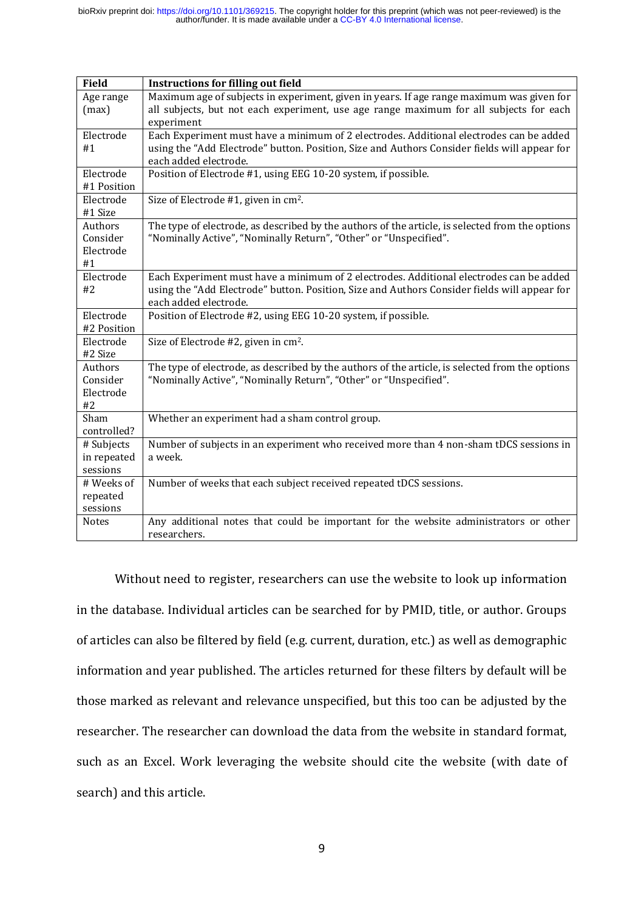| <b>Field</b>                           | <b>Instructions for filling out field</b>                                                                                                                                                                        |
|----------------------------------------|------------------------------------------------------------------------------------------------------------------------------------------------------------------------------------------------------------------|
| Age range<br>(max)                     | Maximum age of subjects in experiment, given in years. If age range maximum was given for<br>all subjects, but not each experiment, use age range maximum for all subjects for each<br>experiment                |
| Electrode                              | Each Experiment must have a minimum of 2 electrodes. Additional electrodes can be added                                                                                                                          |
| #1                                     | using the "Add Electrode" button. Position, Size and Authors Consider fields will appear for<br>each added electrode.                                                                                            |
| Electrode<br>#1 Position               | Position of Electrode #1, using EEG 10-20 system, if possible.                                                                                                                                                   |
| Electrode<br>#1 Size                   | Size of Electrode #1, given in cm <sup>2</sup> .                                                                                                                                                                 |
| Authors<br>Consider<br>Electrode<br>#1 | The type of electrode, as described by the authors of the article, is selected from the options<br>"Nominally Active", "Nominally Return", "Other" or "Unspecified".                                             |
| Electrode<br>#2                        | Each Experiment must have a minimum of 2 electrodes. Additional electrodes can be added<br>using the "Add Electrode" button. Position, Size and Authors Consider fields will appear for<br>each added electrode. |
| Electrode<br>#2 Position               | Position of Electrode #2, using EEG 10-20 system, if possible.                                                                                                                                                   |
| Electrode<br>#2 Size                   | Size of Electrode #2, given in cm <sup>2</sup> .                                                                                                                                                                 |
| Authors<br>Consider<br>Electrode<br>#2 | The type of electrode, as described by the authors of the article, is selected from the options<br>"Nominally Active", "Nominally Return", "Other" or "Unspecified".                                             |
| Sham<br>controlled?                    | Whether an experiment had a sham control group.                                                                                                                                                                  |
| # Subjects<br>in repeated<br>sessions  | Number of subjects in an experiment who received more than 4 non-sham tDCS sessions in<br>a week.                                                                                                                |
| # Weeks of<br>repeated<br>sessions     | Number of weeks that each subject received repeated tDCS sessions.                                                                                                                                               |
| <b>Notes</b>                           | Any additional notes that could be important for the website administrators or other<br>researchers.                                                                                                             |

Without need to register, researchers can use the website to look up information in the database. Individual articles can be searched for by PMID, title, or author. Groups of articles can also be filtered by field (e.g. current, duration, etc.) as well as demographic information and year published. The articles returned for these filters by default will be those marked as relevant and relevance unspecified, but this too can be adjusted by the researcher. The researcher can download the data from the website in standard format, such as an Excel. Work leveraging the website should cite the website (with date of search) and this article.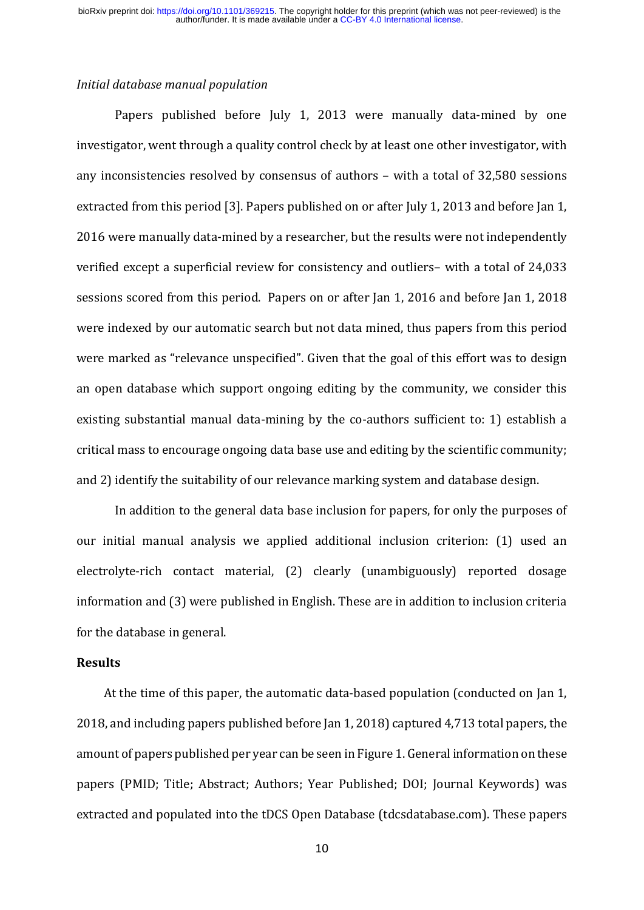## *Initial database manual population*

Papers published before July 1, 2013 were manually data-mined by one investigator, went through a quality control check by at least one other investigator, with any inconsistencies resolved by consensus of authors – with a total of 32,580 sessions extracted from this period [3]. Papers published on or after July 1, 2013 and before Jan 1, 2016 were manually data-mined by a researcher, but the results were not independently verified except a superficial review for consistency and outliers– with a total of 24,033 sessions scored from this period. Papers on or after Jan 1, 2016 and before Jan 1, 2018 were indexed by our automatic search but not data mined, thus papers from this period were marked as "relevance unspecified". Given that the goal of this effort was to design an open database which support ongoing editing by the community, we consider this existing substantial manual data-mining by the co-authors sufficient to: 1) establish a critical mass to encourage ongoing data base use and editing by the scientific community; and 2) identify the suitability of our relevance marking system and database design.

In addition to the general data base inclusion for papers, for only the purposes of our initial manual analysis we applied additional inclusion criterion: (1) used an electrolyte-rich contact material, (2) clearly (unambiguously) reported dosage information and (3) were published in English. These are in addition to inclusion criteria for the database in general.

### **Results**

At the time of this paper, the automatic data-based population (conducted on Jan 1, 2018, and including papers published before Jan 1, 2018) captured 4,713 total papers, the amount of papers published per year can be seen in Figure 1. General information on these papers (PMID; Title; Abstract; Authors; Year Published; DOI; Journal Keywords) was extracted and populated into the tDCS Open Database (tdcsdatabase.com). These papers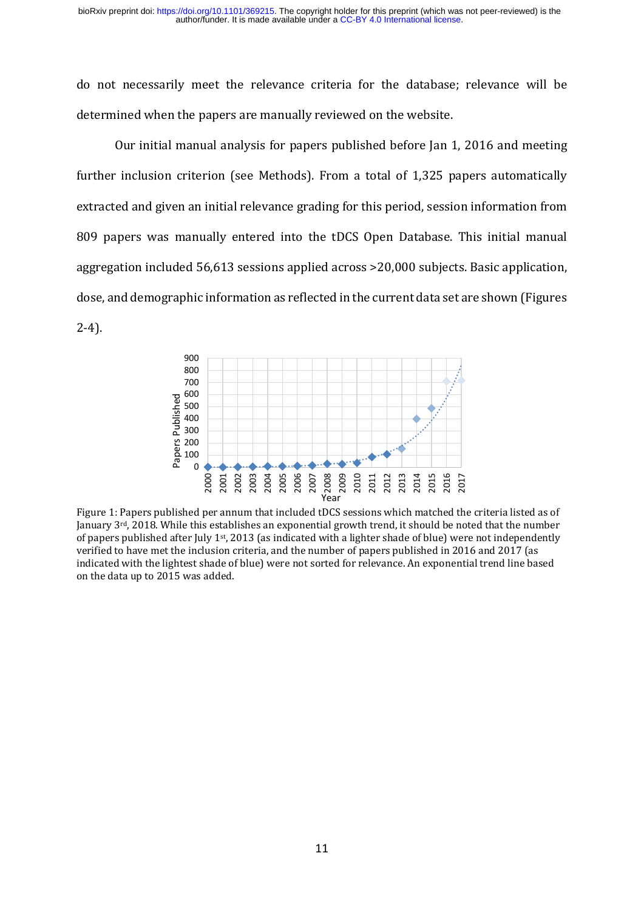do not necessarily meet the relevance criteria for the database; relevance will be determined when the papers are manually reviewed on the website.

Our initial manual analysis for papers published before Jan 1, 2016 and meeting further inclusion criterion (see Methods). From a total of 1,325 papers automatically extracted and given an initial relevance grading for this period, session information from 809 papers was manually entered into the tDCS Open Database. This initial manual aggregation included 56,613 sessions applied across >20,000 subjects. Basic application, dose, and demographic information as reflected in the current data set are shown (Figures 2-4).



Figure 1: Papers published per annum that included tDCS sessions which matched the criteria listed as of January 3rd, 2018. While this establishes an exponential growth trend, it should be noted that the number of papers published after July 1<sup>st</sup>, 2013 (as indicated with a lighter shade of blue) were not independently verified to have met the inclusion criteria, and the number of papers published in 2016 and 2017 (as indicated with the lightest shade of blue) were not sorted for relevance. An exponential trend line based on the data up to 2015 was added.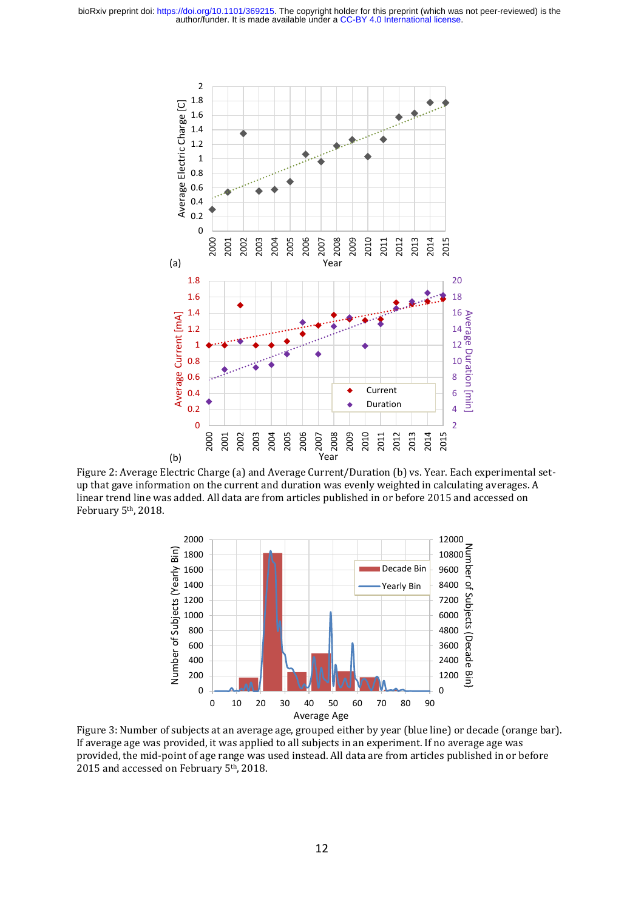

Figure 2: Average Electric Charge (a) and Average Current/Duration (b) vs. Year. Each experimental setup that gave information on the current and duration was evenly weighted in calculating averages. A linear trend line was added. All data are from articles published in or before 2015 and accessed on February 5<sup>th</sup>, 2018.



Figure 3: Number of subjects at an average age, grouped either by year (blue line) or decade (orange bar). If average age was provided, it was applied to all subjects in an experiment. If no average age was provided, the mid-point of age range was used instead. All data are from articles published in or before 2015 and accessed on February 5th, 2018.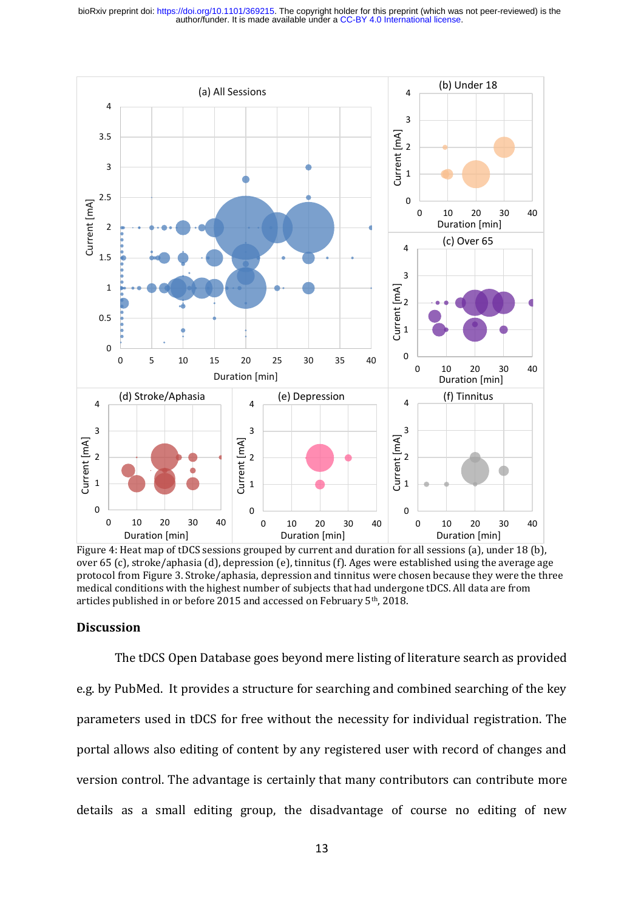

Figure 4: Heat map of tDCS sessions grouped by current and duration for all sessions (a), under 18 (b), over 65 (c), stroke/aphasia (d), depression (e), tinnitus (f). Ages were established using the average age protocol from Figure 3. Stroke/aphasia, depression and tinnitus were chosen because they were the three medical conditions with the highest number of subjects that had undergone tDCS. All data are from articles published in or before 2015 and accessed on February 5th, 2018.

## **Discussion**

The tDCS Open Database goes beyond mere listing of literature search as provided e.g. by PubMed. It provides a structure for searching and combined searching of the key parameters used in tDCS for free without the necessity for individual registration. The portal allows also editing of content by any registered user with record of changes and version control. The advantage is certainly that many contributors can contribute more details as a small editing group, the disadvantage of course no editing of new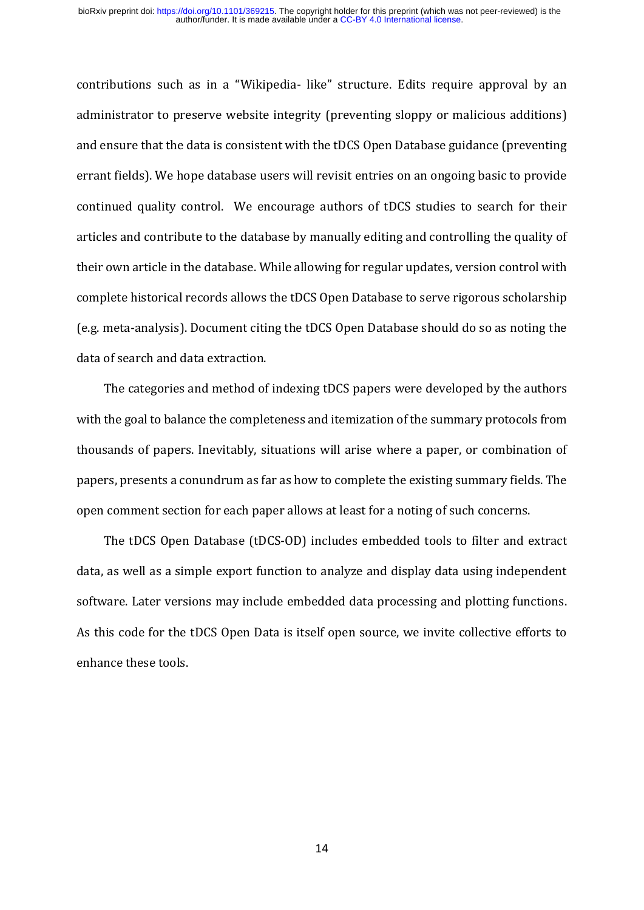contributions such as in a "Wikipedia- like" structure. Edits require approval by an administrator to preserve website integrity (preventing sloppy or malicious additions) and ensure that the data is consistent with the tDCS Open Database guidance (preventing errant fields). We hope database users will revisit entries on an ongoing basic to provide continued quality control. We encourage authors of tDCS studies to search for their articles and contribute to the database by manually editing and controlling the quality of their own article in the database. While allowing for regular updates, version control with complete historical records allows the tDCS Open Database to serve rigorous scholarship (e.g. meta-analysis). Document citing the tDCS Open Database should do so as noting the data of search and data extraction.

The categories and method of indexing tDCS papers were developed by the authors with the goal to balance the completeness and itemization of the summary protocols from thousands of papers. Inevitably, situations will arise where a paper, or combination of papers, presents a conundrum as far as how to complete the existing summary fields. The open comment section for each paper allows at least for a noting of such concerns.

The tDCS Open Database (tDCS-OD) includes embedded tools to filter and extract data, as well as a simple export function to analyze and display data using independent software. Later versions may include embedded data processing and plotting functions. As this code for the tDCS Open Data is itself open source, we invite collective efforts to enhance these tools.